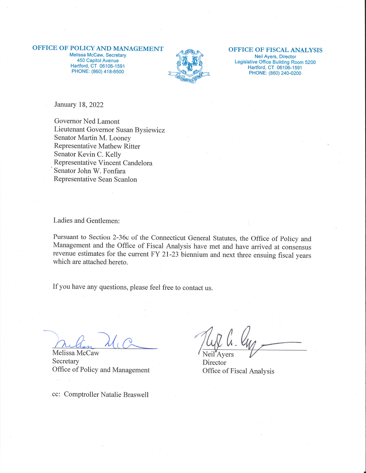### OFFICE OF POLICY AND MANAGEMENT

Melissa McCaw, Secretary 450 Capitol Avenue Hartford, CT 06106-1591 PHONE: (860) 418-6500



# OFFICE OF FISCAL ANALYSIS

Neil Ayers, Director Legislative Office Building Room 5200 Hartford, CT 06106-1591 PHONE: (860) 240-0200

January 18, 2022

Governor Ned Lamont Lieutenant Governor Susan Bysiewicz Senator Martin M. Looney Representative Mathew Ritter Senator Kevin C. Kelly Representative Vincent Candelora Senator John W. Fonfara Representative Sean Scanlon

Ladies and Gentlemen:

Pursuant to Section 2-36c of the Connecticut General Statutes, the Office of Policy and Management and the Office of Fiscal Analysis have met and have arrived at consensus revenue estimates for the current FY 21-23 biennium and next three ensuing fiscal years which are attached hereto.

If you have any questions, please feel free to contact us.

Melissa McCaw Secretary Office of Policy and Management

cc: Comptroller Natalie Braswell

Neil'Avers

Director Office of Fiscal Analysis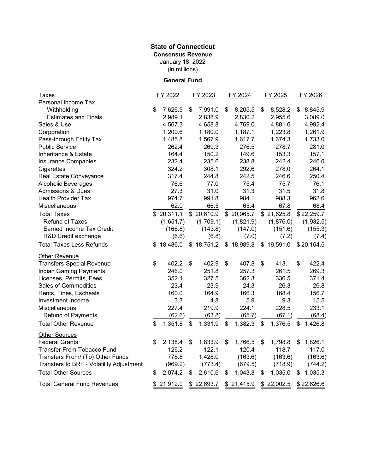## January 18, 2022 **State of Connecticut Consensus Revenue**

(in millions)

### **General Fund**

| <b>Taxes</b>                             | FY 2022 |            | FY 2023 |                       | FY 2024 |            | FY 2025       |            | FY 2026 |            |
|------------------------------------------|---------|------------|---------|-----------------------|---------|------------|---------------|------------|---------|------------|
| Personal Income Tax                      |         |            |         |                       |         |            |               |            |         |            |
| Withholding                              | \$      | 7,626.9    | \$      | 7,991.0               | \$      | 8,205.5    | \$            | 8,528.2    | \$      | 8,845.9    |
| <b>Estimates and Finals</b>              |         | 2,989.1    |         | 2,838.9               |         | 2,830.2    |               | 2,955.6    |         | 3,089.0    |
| Sales & Use                              |         | 4,567.3    |         | 4,658.8               |         | 4,769.0    |               | 4,881.6    |         | 4,992.4    |
| Corporation                              |         | 1,200.6    |         | 1,180.0               |         | 1,187.1    |               | 1,223.8    |         | 1,261.9    |
| Pass-through Entity Tax                  |         | 1,485.8    |         | 1,567.9               |         | 1,617.7    |               | 1,674.3    |         | 1,733.0    |
| <b>Public Service</b>                    |         | 262.4      |         | 269.3                 |         | 276.5      |               | 278.7      |         | 281.0      |
| Inheritance & Estate                     |         | 164.4      |         | 150.2                 |         | 149.6      |               | 153.3      |         | 157.1      |
| Insurance Companies                      |         | 232.4      |         | 235.6                 |         | 238.8      |               | 242.4      |         | 246.0      |
| Cigarettes                               |         | 324.2      |         | 308.1                 |         | 292.6      |               | 278.0      |         | 264.1      |
| Real Estate Conveyance                   |         | 317.4      |         | 244.8                 |         | 242.5      |               | 246.6      |         | 250.4      |
| Alcoholic Beverages                      |         | 76.6       |         | 77.0                  |         | 75.4       |               | 75.7       |         | 76.1       |
| <b>Admissions &amp; Dues</b>             |         | 27.3       |         | 31.0                  |         | 31.3       |               | 31.5       |         | 31.8       |
| <b>Health Provider Tax</b>               |         | 974.7      |         | 991.8                 |         | 984.1      |               | 988.3      |         | 962.6      |
| Miscellaneous                            |         | 62.0       |         | 66.5                  |         | 65.4       |               | 67.8       |         | 68.4       |
| <b>Total Taxes</b>                       |         | \$20,311.1 |         | \$20,610.9            |         | \$20,965.7 |               | \$21,625.8 |         | \$22,259.7 |
| <b>Refund of Taxes</b>                   |         | (1,651.7)  |         | (1,709.1)             |         | (1,821.9)  |               | (1,876.0)  |         | (1,932.5)  |
| <b>Earned Income Tax Credit</b>          |         | (166.8)    |         | (143.8)               |         | (147.0)    |               | (151.6)    |         | (155.3)    |
| R&D Credit exchange                      |         | (6.6)      |         | (6.8)                 |         | (7.0)      |               | (7.2)      |         | (7.4)      |
| <b>Total Taxes Less Refunds</b>          |         | \$18,486.0 |         | \$18,751.2 \$18,989.8 |         |            |               | \$19,591.0 |         | \$20,164.5 |
| <b>Other Revenue</b>                     |         |            |         |                       |         |            |               |            |         |            |
| <b>Transfers-Special Revenue</b>         | \$      | 402.2      | \$      | 402.9                 | \$      | 407.8      | \$            | 413.1      | \$      | 422.4      |
| Indian Gaming Payments                   |         | 246.0      |         | 251.8                 |         | 257.3      |               | 261.5      |         | 269.3      |
| Licenses, Permits, Fees                  |         | 352.1      |         | 327.5                 |         | 362.3      |               | 336.5      |         | 371.4      |
| Sales of Commodities                     |         | 23.4       |         | 23.9                  |         | 24.3       |               | 26.3       |         | 26.8       |
| Rents, Fines, Escheats                   |         | 160.0      |         | 164.9                 |         | 166.3      |               | 168.4      |         | 156.7      |
| Investment Income                        |         | 3.3        |         | 4.8                   |         | 5.9        |               | 9.3        |         | 15.5       |
| Miscellaneous                            |         | 227.4      |         | 219.9                 |         | 224.1      |               | 228.5      |         | 233.1      |
| <b>Refund of Payments</b>                |         | (62.6)     |         | (63.8)                |         | (65.7)     |               | (67.1)     |         | (68.4)     |
| <b>Total Other Revenue</b>               | \$      | 1,351.8    | \$      | 1,331.9               | \$      | 1,382.3    | $\frac{1}{2}$ | 1,376.5    | \$      | 1,426.8    |
| <b>Other Sources</b>                     |         |            |         |                       |         |            |               |            |         |            |
| <b>Federal Grants</b>                    | \$      | 2,138.4    | \$      | 1,833.9               | \$      | 1,766.5    | \$            | 1,798.8    | \$      | 1,826.1    |
| <b>Transfer From Tobacco Fund</b>        |         | 126.2      |         | 122.1                 |         | 120.4      |               | 118.7      |         | 117.0      |
| Transfers From/ (To) Other Funds         |         | 778.8      |         | 1,428.0               |         | (163.6)    |               | (163.6)    |         | (163.6)    |
| Transfers to BRF - Volatility Adjustment |         | (969.2)    |         | (773.4)               |         | (679.5)    |               | (718.9)    |         | (744.2)    |
| <b>Total Other Sources</b>               | \$      | 2,074.2    | \$      | 2,610.6               | \$      | 1,043.8    | \$            | 1,035.0    | \$      | 1,035.3    |
| <b>Total General Fund Revenues</b>       | \$      | 21,912.0   |         | \$22,693.7            |         | \$21,415.9 |               | \$22,002.5 |         | \$22,626.6 |